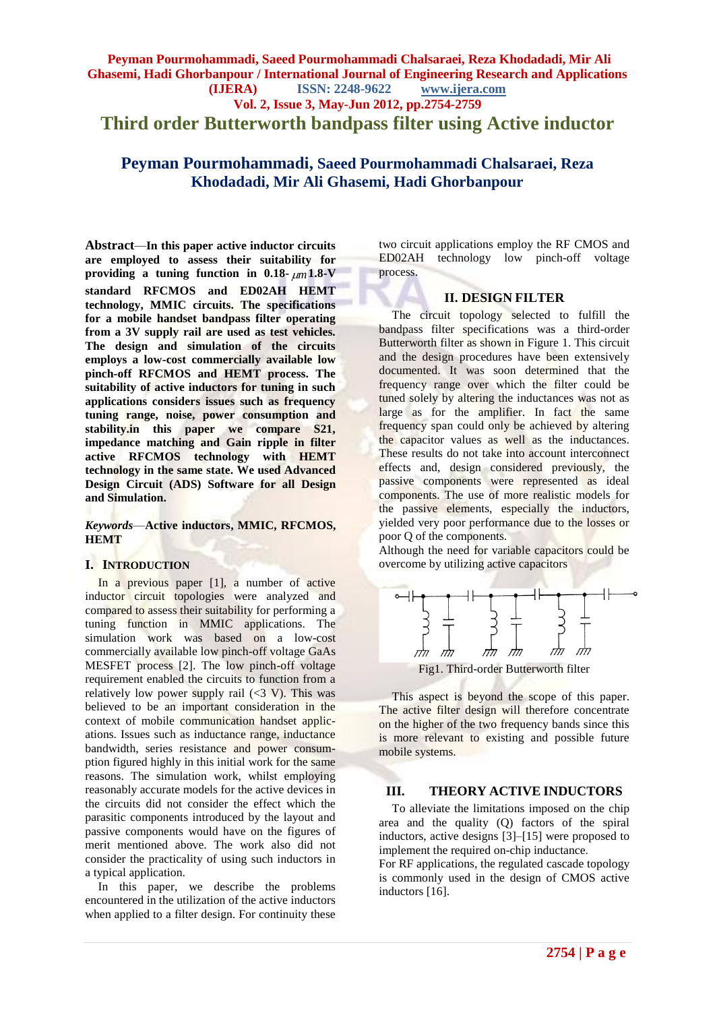**Third order Butterworth bandpass filter using Active inductor**

**Peyman Pourmohammadi, Saeed Pourmohammadi Chalsaraei, Reza Khodadadi, Mir Ali Ghasemi, Hadi Ghorbanpour**

**Abstract***—***In this paper active inductor circuits are employed to assess their suitability for providing a tuning function in 0.18-**  $\mu$ m 1.8-V **standard RFCMOS and ED02AH HEMT technology, MMIC circuits. The specifications for a mobile handset bandpass filter operating from a 3V supply rail are used as test vehicles. The design and simulation of the circuits employs a low-cost commercially available low pinch-off RFCMOS and HEMT process. The suitability of active inductors for tuning in such applications considers issues such as frequency tuning range, noise, power consumption and stability.in this paper we compare S21, impedance matching and Gain ripple in filter active RFCMOS technology with HEMT technology in the same state. We used Advanced Design Circuit (ADS) Software for all Design and Simulation.**

*Keywords*—**Active inductors, MMIC, RFCMOS, HEMT**

### **I. INTRODUCTION**

In a previous paper [1], a number of active inductor circuit topologies were analyzed and compared to assess their suitability for performing a tuning function in MMIC applications. The simulation work was based on a low-cost commercially available low pinch-off voltage GaAs MESFET process [2]. The low pinch-off voltage requirement enabled the circuits to function from a relatively low power supply rail  $\langle$  <3 V). This was believed to be an important consideration in the context of mobile communication handset applications. Issues such as inductance range, inductance bandwidth, series resistance and power consumption figured highly in this initial work for the same reasons. The simulation work, whilst employing reasonably accurate models for the active devices in the circuits did not consider the effect which the parasitic components introduced by the layout and passive components would have on the figures of merit mentioned above. The work also did not consider the practicality of using such inductors in a typical application.

In this paper, we describe the problems encountered in the utilization of the active inductors when applied to a filter design. For continuity these two circuit applications employ the RF CMOS and ED02AH technology low pinch-off voltage process.

#### **II. DESIGN FILTER**

The circuit topology selected to fulfill the bandpass filter specifications was a third-order Butterworth filter as shown in Figure 1. This circuit and the design procedures have been extensively documented. It was soon determined that the frequency range over which the filter could be tuned solely by altering the inductances was not as large as for the amplifier. In fact the same frequency span could only be achieved by altering the capacitor values as well as the inductances. These results do not take into account interconnect effects and, design considered previously, the passive components were represented as ideal components. The use of more realistic models for the passive elements, especially the inductors, yielded very poor performance due to the losses or poor Q of the components.

Although the need for variable capacitors could be overcome by utilizing active capacitors



Fig1. Third-order Butterworth filter

This aspect is beyond the scope of this paper. The active filter design will therefore concentrate on the higher of the two frequency bands since this is more relevant to existing and possible future mobile systems.

#### **III. THEORY ACTIVE INDUCTORS**

To alleviate the limitations imposed on the chip area and the quality (Q) factors of the spiral inductors, active designs [3]–[15] were proposed to implement the required on-chip inductance.

For RF applications, the regulated cascade topology is commonly used in the design of CMOS active inductors [16].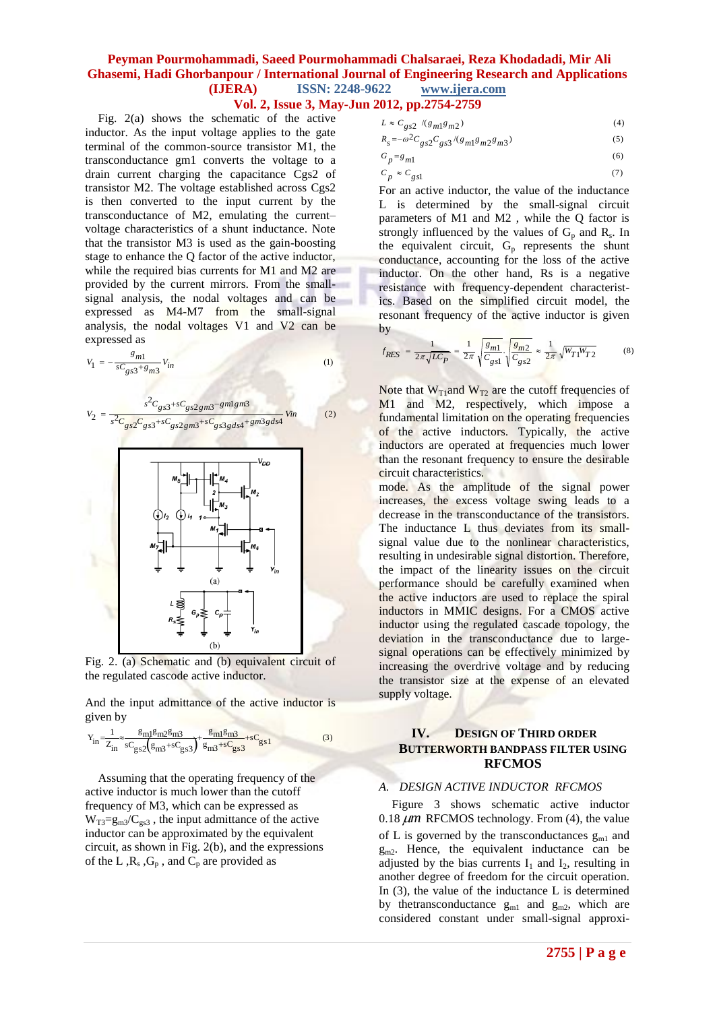## **Vol. 2, Issue 3, May-Jun 2012, pp.2754-2759**

Fig. 2(a) shows the schematic of the active inductor. As the input voltage applies to the gate terminal of the common-source transistor M1, the transconductance gm1 converts the voltage to a drain current charging the capacitance Cgs2 of transistor M2. The voltage established across Cgs2 is then converted to the input current by the transconductance of M2, emulating the current– voltage characteristics of a shunt inductance. Note that the transistor M3 is used as the gain-boosting stage to enhance the Q factor of the active inductor, while the required bias currents for M1 and M2 are provided by the current mirrors. From the smallsignal analysis, the nodal voltages and can be expressed as M4-M7 from the small-signal analysis, the nodal voltages V1 and V2 can be expressed as

$$
V_1 = -\frac{g_{m1}}{sC_{gs3} + g_{m3}} V_{in}
$$
 (1)

$$
V_2 = \frac{s^2 C_{gs3} + s C_{gs2gm3} - gmlgm3}{s^2 C_{gs2} C_{gs3} + s C_{gs2gm3} + s C_{gs2g3gds4} + gm3gds4} \quad (2)
$$



Fig. 2. (a) Schematic and (b) equivalent circuit of the regulated cascode active inductor.

And the input admittance of the active inductor is given by

$$
Y_{in} = \frac{1}{Z_{in}} \approx \frac{g_{m1}g_{m2}g_{m3}}{sC_{gs2}(g_{m3} + sC_{gs3})} + \frac{g_{m1}g_{m3}}{g_{m3} + sC_{gs3}} + sC_{gs1}
$$
(3)

Assuming that the operating frequency of the active inductor is much lower than the cutoff frequency of M3, which can be expressed as  $W_{T3}=g_{m3}/C_{gs3}$ , the input admittance of the active inductor can be approximated by the equivalent circuit, as shown in Fig. 2(b), and the expressions of the L, $R_s$ ,  $G_p$ , and  $C_p$  are provided as

$$
L \approx C_{gs2} / (g_{m1}g_{m2})
$$
\n<sup>(4)</sup>

$$
R_s = -\omega^2 C_{gs2} C_{gs3} / (g_{m1}g_{m2}g_{m3})
$$
\n(5)

(6)

$$
G_p = g_{m1}
$$

$$
P \sim m_1
$$
  
\n
$$
C_p \approx C_{gs1}
$$
 (7)

For an active inductor, the value of the inductance L is determined by the small-signal circuit parameters of M1 and M2 , while the Q factor is strongly influenced by the values of  $G_p$  and  $R_s$ . In the equivalent circuit,  $G_p$  represents the shunt conductance, accounting for the loss of the active inductor. On the other hand, Rs is a negative resistance with frequency-dependent characteristics. Based on the simplified circuit model, the resonant frequency of the active inductor is given by

$$
f_{RES} = \frac{1}{2\pi\sqrt{LC_P}} = \frac{1}{2\pi} \sqrt{\frac{g_{m1}}{C_{gs1}}} \cdot \sqrt{\frac{g_{m2}}{C_{gs2}}} \approx \frac{1}{2\pi} \sqrt{W_{T1}W_{T2}}
$$
(8)

Note that  $W_{T1}$ and  $W_{T2}$  are the cutoff frequencies of M1 and M2, respectively, which impose a fundamental limitation on the operating frequencies of the active inductors. Typically, the active inductors are operated at frequencies much lower than the resonant frequency to ensure the desirable circuit characteristics.

mode. As the amplitude of the signal power increases, the excess voltage swing leads to a decrease in the transconductance of the transistors. The inductance L thus deviates from its smallsignal value due to the nonlinear characteristics, resulting in undesirable signal distortion. Therefore, the impact of the linearity issues on the circuit performance should be carefully examined when the active inductors are used to replace the spiral inductors in MMIC designs. For a CMOS active inductor using the regulated cascade topology, the deviation in the transconductance due to largesignal operations can be effectively minimized by increasing the overdrive voltage and by reducing the transistor size at the expense of an elevated supply voltage.

### **IV. DESIGN OF THIRD ORDER BUTTERWORTH BANDPASS FILTER USING RFCMOS**

#### *A. DESIGN ACTIVE INDUCTOR RFCMOS*

Figure 3 shows schematic active inductor  $0.18 \mu m$  RFCMOS technology. From (4), the value of L is governed by the transconductances  $g_{m1}$  and  $g_{m2}$ . Hence, the equivalent inductance can be adjusted by the bias currents  $I_1$  and  $I_2$ , resulting in another degree of freedom for the circuit operation. In (3), the value of the inductance L is determined by the transconductance  $g_{m1}$  and  $g_{m2}$ , which are considered constant under small-signal approxi-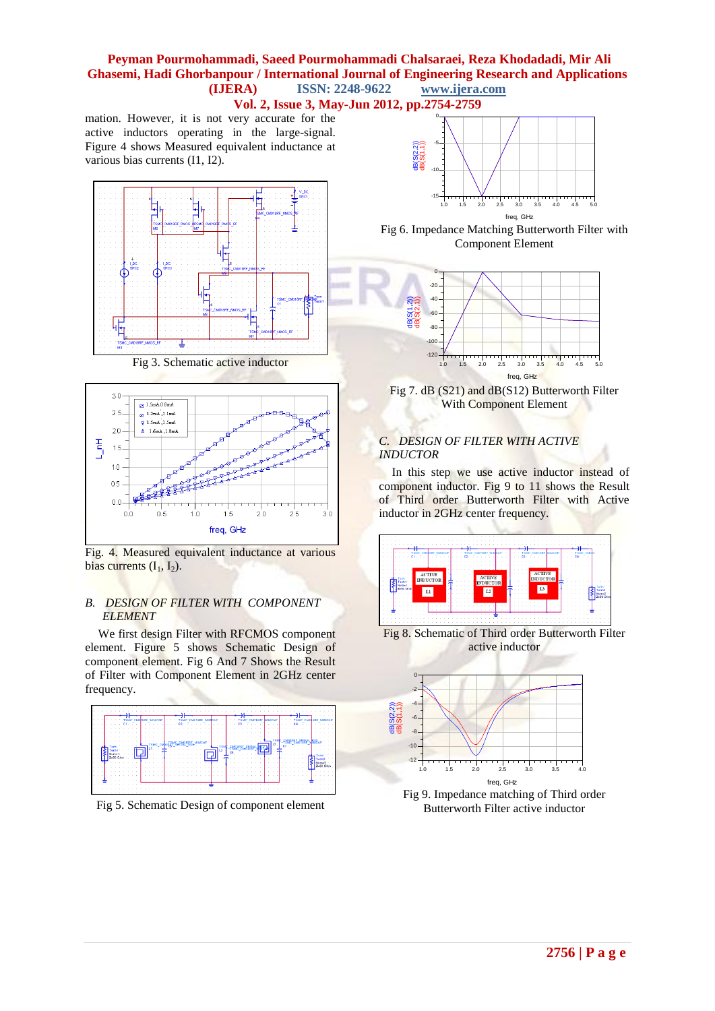**Vol. 2, Issue 3, May-Jun 2012, pp.2754-2759**

mation. However, it is not very accurate for the active inductors operating in the large-signal. Figure 4 shows Measured equivalent inductance at various bias currents (I1, I2).



Fig 3. Schematic active inductor



Fig. 4. Measured equivalent inductance at various bias currents  $(I_1, I_2)$ .

#### *B. DESIGN OF FILTER WITH COMPONENT ELEMENT*

We first design Filter with RFCMOS component element. Figure 5 shows Schematic Design of component element. Fig 6 And 7 Shows the Result of Filter with Component Element in 2GHz center frequency.



Fig 5. Schematic Design of component element



Fig 6. Impedance Matching Butterworth Filter with Component Element



Fig 7. dB (S21) and dB(S12) Butterworth Filter With Component Element

## *C. DESIGN OF FILTER WITH ACTIVE INDUCTOR*

In this step we use active inductor instead of component inductor. Fig 9 to 11 shows the Result of Third order Butterworth Filter with Active inductor in 2GHz center frequency.



Fig 8. Schematic of Third order Butterworth Filter active inductor



Fig 9. Impedance matching of Third order Butterworth Filter active inductor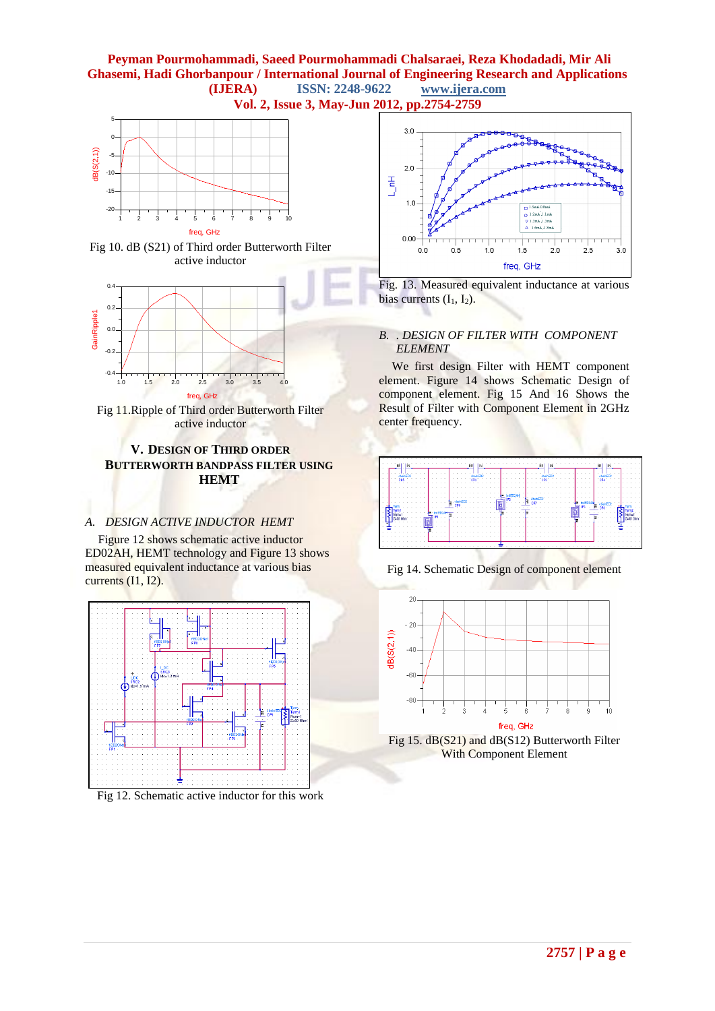**Peyman Pourmohammadi, Saeed Pourmohammadi Chalsaraei, Reza Khodadadi, Mir Ali Ghasemi, Hadi Ghorbanpour / International Journal of Engineering Research and Applications (IJERA) ISSN: 2248-9622 www.ijera.com Vol. 2, Issue 3, May-Jun 2012, pp.2754-2759**



Fig 10. dB (S21) of Third order Butterworth Filter active inductor



Fig 11.Ripple of Third order Butterworth Filter active inductor

## **V. DESIGN OF THIRD ORDER BUTTERWORTH BANDPASS FILTER USING HEMT**

## *A. DESIGN ACTIVE INDUCTOR HEMT*

Figure 12 shows schematic active inductor ED02AH, HEMT technology and Figure 13 shows measured equivalent inductance at various bias currents (I1, I2).



Fig 12. Schematic active inductor for this work



Fig. 13. Measured equivalent inductance at various bias currents  $(I_1, I_2)$ .

#### *B. . DESIGN OF FILTER WITH COMPONENT ELEMENT*

We first design Filter with HEMT component element. Figure 14 shows Schematic Design of component element. Fig 15 And 16 Shows the Result of Filter with Component Element in 2GHz center frequency.



Fig 14. Schematic Design of component element



Fig 15. dB(S21) and dB(S12) Butterworth Filter With Component Element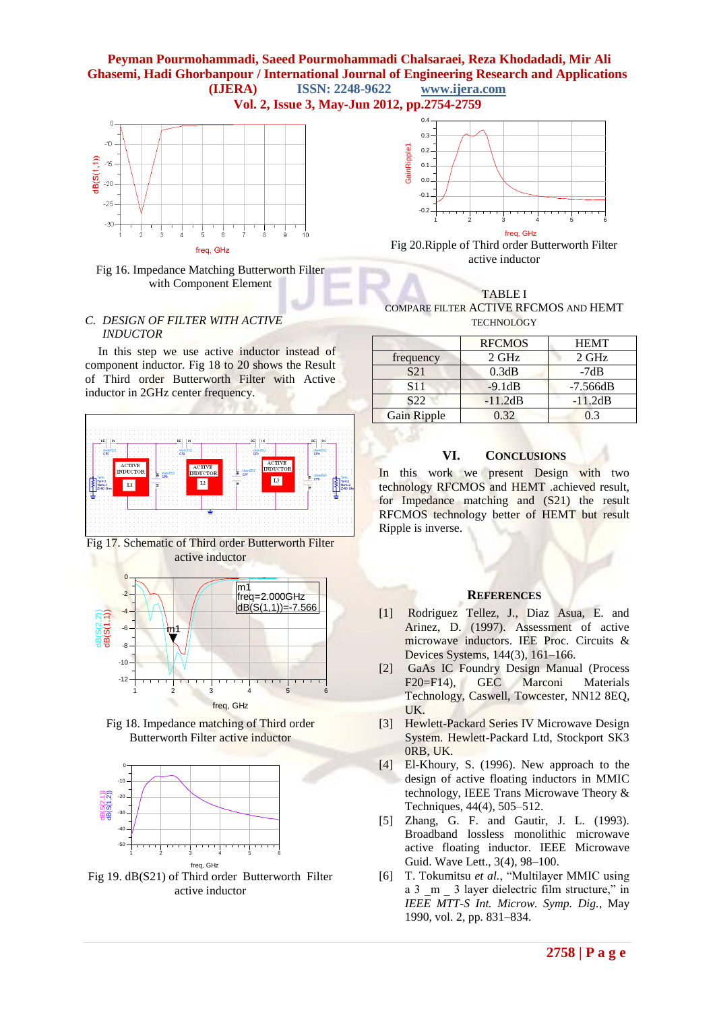





#### *C. DESIGN OF FILTER WITH ACTIVE INDUCTOR*

In this step we use active inductor instead of component inductor. Fig 18 to 20 shows the Result of Third order Butterworth Filter with Active inductor in 2GHz center frequency.











Fig 19. dB(S21) of Third order Butterworth Filter active inductor



Fig 20.Ripple of Third order Butterworth Filter active inductor



COMPARE FILTER ACTIVE RFCMOS AND HEMT **TECHNOLOGY** 

|                 | <b>RFCMOS</b> | <b>HEMT</b> |
|-----------------|---------------|-------------|
| frequency       | $2$ GHz       | 2 GHz       |
| S <sub>21</sub> | 0.3dB         | $-7dB$      |
| S <sub>11</sub> | $-9.1dB$      | $-7.566dB$  |
| S <sub>22</sub> | $-11.2dB$     | $-11.2dB$   |
| Gain Ripple     | 0.32          | 03          |

### **VI. CONCLUSIONS**

In this work we present Design with two technology RFCMOS and HEMT .achieved result, for Impedance matching and (S21) the result RFCMOS technology better of HEMT but result Ripple is inverse.

#### **REFERENCES**

- [1] Rodriguez Tellez, J., Diaz Asua, E. and Arinez, D. (1997). Assessment of active microwave inductors. IEE Proc. Circuits & Devices Systems, 144(3), 161–166.
- [2] GaAs IC Foundry Design Manual (Process F20=F14), GEC Marconi Materials Technology, Caswell, Towcester, NN12 8EQ, UK.
- [3] Hewlett-Packard Series IV Microwave Design System. Hewlett-Packard Ltd, Stockport SK3 0RB, UK.
- [4] El-Khoury, S. (1996). New approach to the design of active floating inductors in MMIC technology, IEEE Trans Microwave Theory & Techniques, 44(4), 505–512.
- [5] Zhang, G. F. and Gautir, J. L. (1993). Broadband lossless monolithic microwave active floating inductor. IEEE Microwave Guid. Wave Lett., 3(4), 98–100.
- [6] T. Tokumitsu et al., "Multilayer MMIC using a 3  $m$  3 layer dielectric film structure," in *IEEE MTT-S Int. Microw. Symp. Dig.*, May 1990, vol. 2, pp. 831–834.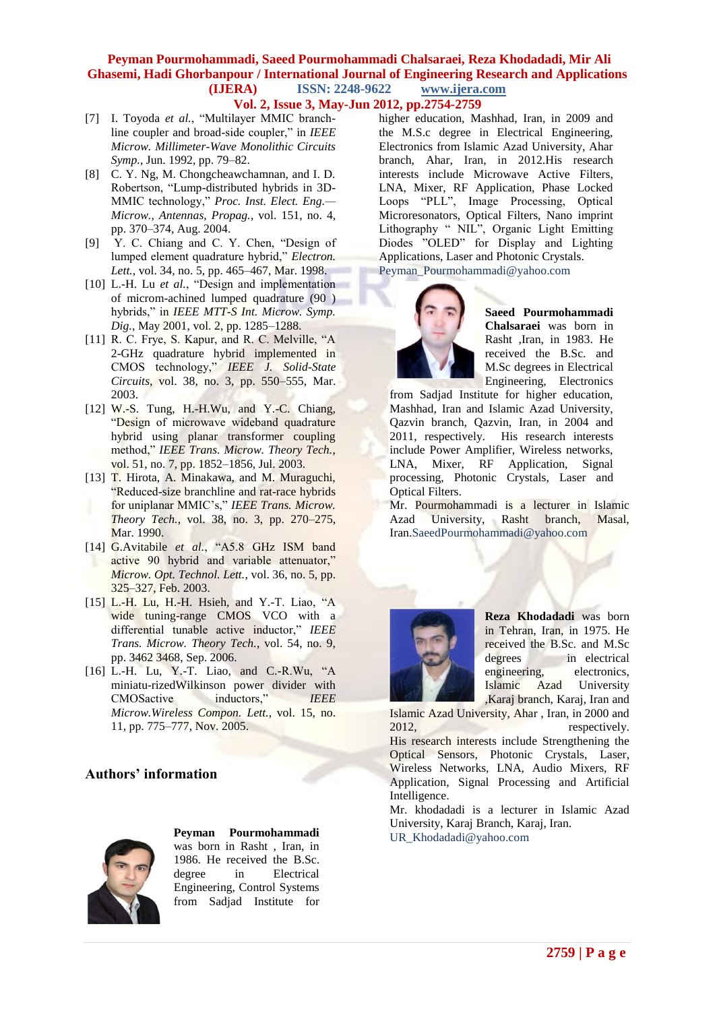- **Vol. 2, Issue 3, May-Jun 2012, pp.2754-2759**
- [7] I. Toyoda *et al.*, "Multilayer MMIC branchline coupler and broad-side coupler," in *IEEE Microw. Millimeter-Wave Monolithic Circuits Symp.*, Jun. 1992, pp. 79–82.
- [8] C. Y. Ng, M. Chongcheawchamnan, and I. D. Robertson, "Lump-distributed hybrids in 3D-MMIC technology," Proc. Inst. Elect. Eng.-*Microw., Antennas, Propag.*, vol. 151, no. 4, pp. 370–374, Aug. 2004.
- [9] Y. C. Chiang and C. Y. Chen, "Design of lumped element quadrature hybrid," Electron. *Lett.*, vol. 34, no. 5, pp. 465–467, Mar. 1998.
- [10] L.-H. Lu *et al.*, "Design and implementation of microm-achined lumped quadrature (90 ) hybrids," in *IEEE MTT-S Int. Microw. Symp. Dig.*, May 2001, vol. 2, pp. 1285–1288.
- [11] R. C. Frye, S. Kapur, and R. C. Melville,  $A$ 2-GHz quadrature hybrid implemented in CMOS technology,‖ *IEEE J. Solid-State Circuits*, vol. 38, no. 3, pp. 550–555, Mar. 2003.
- [12] W.-S. Tung, H.-H.Wu, and Y.-C. Chiang, "Design of microwave wideband quadrature hybrid using planar transformer coupling method," IEEE Trans. Microw. Theory Tech., vol. 51, no. 7, pp. 1852–1856, Jul. 2003.
- [13] T. Hirota, A. Minakawa, and M. Muraguchi, "Reduced-size branchline and rat-race hybrids for uniplanar MMIC's," IEEE Trans. Microw. *Theory Tech.*, vol. 38, no. 3, pp. 270–275, Mar. 1990.
- [14] G.Avitabile et al., "A5.8 GHz ISM band active 90 hybrid and variable attenuator," *Microw. Opt. Technol. Lett.*, vol. 36, no. 5, pp. 325–327, Feb. 2003.
- [15] L.-H. Lu, H.-H. Hsieh, and Y.-T. Liao,  $A$ wide tuning-range CMOS VCO with a differential tunable active inductor," *IEEE Trans. Microw. Theory Tech.*, vol. 54, no. 9, pp. 3462 3468, Sep. 2006.
- $[16]$  L.-H. Lu, Y.-T. Liao, and C.-R.Wu, "A miniatu-rizedWilkinson power divider with CMOSactive inductors,‖ *IEEE Microw.Wireless Compon. Lett.*, vol. 15, no. 11, pp. 775–777, Nov. 2005.

## **Authors' information**



**Peyman Pourmohammadi**

was born in Rasht , Iran, in 1986. He received the B.Sc. degree in Electrical Engineering, Control Systems from Sadjad Institute for

higher education, Mashhad, Iran, in 2009 and the M.S.c degree in Electrical Engineering, Electronics from Islamic Azad University, Ahar branch, Ahar, Iran, in 2012.His research interests include Microwave Active Filters, LNA, Mixer, RF Application, Phase Locked Loops "PLL", Image Processing, Optical Microresonators, Optical Filters, Nano imprint Lithography " NIL", Organic Light Emitting Diodes "OLED" for Display and Lighting Applications, Laser and Photonic Crystals. Peyman\_Pourmohammadi@yahoo.com



**Saeed Pourmohammadi Chalsaraei** was born in Rasht ,Iran, in 1983. He received the B.Sc. and M.Sc degrees in Electrical Engineering, Electronics

from Sadjad Institute for higher education, Mashhad, Iran and Islamic Azad University, Qazvin branch, Qazvin, Iran, in 2004 and 2011, respectively. His research interests include Power Amplifier, Wireless networks, LNA, Mixer, RF Application, Signal processing, Photonic Crystals, Laser and Optical Filters.

Mr. Pourmohammadi is a lecturer in Islamic Azad University, Rasht branch, Masal, Iran.SaeedPourmohammadi@yahoo.com



**Reza Khodadadi** was born in Tehran, Iran, in 1975. He received the B.Sc. and M.Sc degrees in electrical engineering, electronics, Islamic Azad University ,Karaj branch, Karaj, Iran and

Islamic Azad University, Ahar , Iran, in 2000 and 2012, respectively. His research interests include Strengthening the Optical Sensors, Photonic Crystals, Laser, Wireless Networks, LNA, Audio Mixers, RF Application, Signal Processing and Artificial Intelligence.

Mr. khodadadi is a lecturer in Islamic Azad University, Karaj Branch, Karaj, Iran. [UR\\_Khodadadi@yahoo.com](http://us.mg5.mail.yahoo.com/neo/compose?to=UR_Khodadadi@yahoo.com)